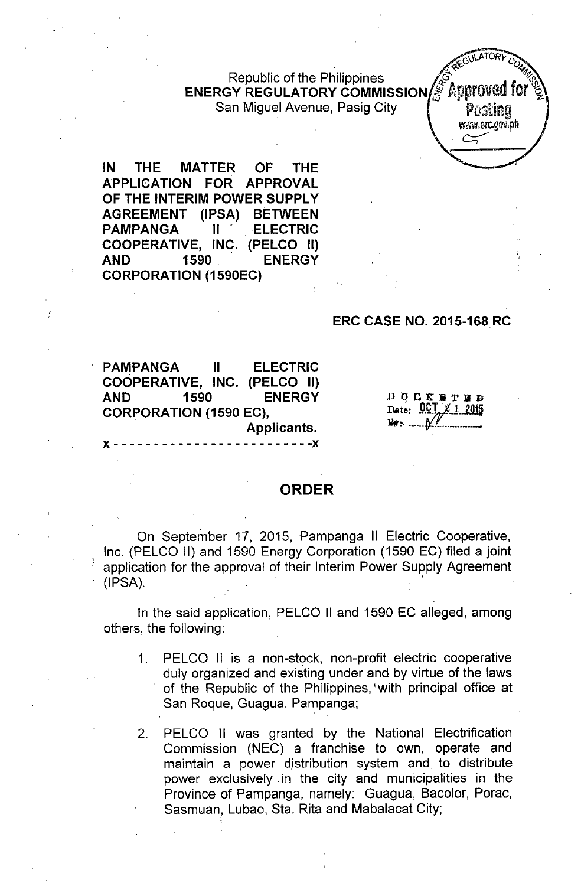Republic of the Philippines<br>ENERGY REGULATORY COMMISSION & Approved for  $\frac{1}{2}$ San Miguel Avenue, Pasig City **Posting** 



**IN THE MATTER OF THE APPLICATION FOR APPROVAL OF THE INTERIM POWER** SUPPLY **AGREEMENT (IPSA) BETWEEN PAMPANGA II' .** ELECTRIC **COOPERATIVE, INC. (PELCO II) AND 1590 ENERGY CORPORATION (1590EC)**

# **ERC CASE NO. 2015-168 RC**

**PAMPANGA II ELECTRIC COOPERATIVE, INC. (PELCO II) AND 1590 ENERGY CORPORATION (1590 EC), Applicants.**

J( - - - - - - - - - - - - - - - - - - - - - - - - **-J(**

DOCK BTHD Date: 0CT 2 1 2015

# **ORDER**

On September 17, 2015, Pampanga II Electric Cooperative, Inc. (PELCO II) and 1590 Energy Corporation (1590 EC) filed a joint application for the approval of their Interim Power Supply Agreement (IPSA). '

In the said application, PELCO II and 1590 EC alleged, among others, the following:

- 1. PELCO II is a non-stock, non-profit electric cooperative duly organized and existing under and by virtue of the laws of the Republic of the Philippines, with principal office at San Roque, Guagua, Pampanga;
- 2. PELCO II was granted by the National Electrification Commission (NEC) a franchise to own, operate and maintain a power distribution system and to distribute power exclusively in the city and municipalities in the Province of Pampanga, namely: Guagua, Bacolor, Porac, Sasmuan, Lubao, Sta. Rita and Mabalacat City;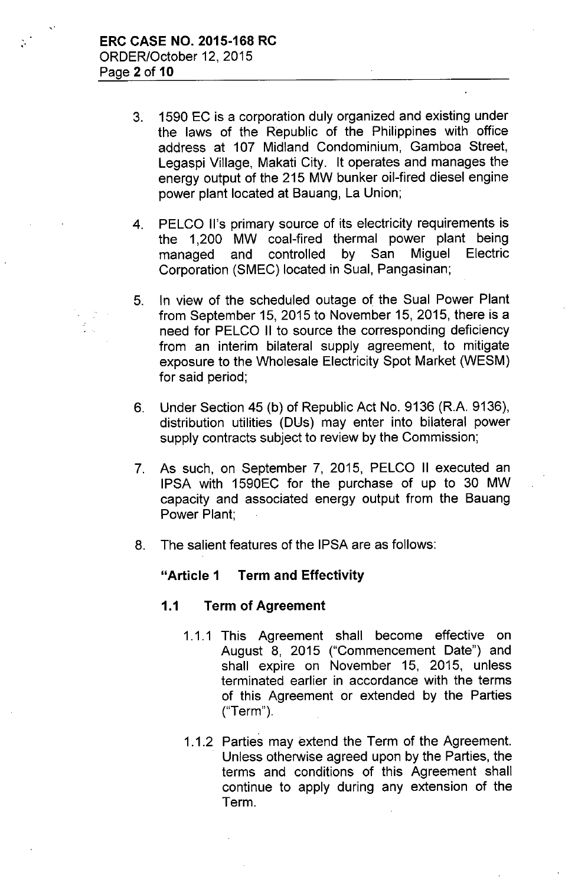- 3. 1590 EC is a corporation duly organized and existing under the laws of the Republic of the Philippines with office address at 107 Midland Condominium, Gamboa Street, Legaspi Village, Makati City. It operates and manages the energy output of the 215 MW bunker oil-fired diesel engine power plant located at Bauang, La Union;
- 4. PELCO II's primary source of its electricity requirements is the 1,200 MW coal-fired thermal power plant being managed and controlled by San Miguel Electric Corporation (SMEC) located in Sual, Pangasinan;
- 5. In view of the scheduled outage of the Sual Power Plant from September 15, 2015 to November 15, 2015, there is a need for PELCO II to source the corresponding deficiency from an interim bilateral supply agreement, to mitigate exposure to the Wholesale Electricity Spot Market (WESM) for said period;
- 6. Under Section 45 (b) of Republic Act No. 9136 (R.A. 9136), distribution utilities (DUs) may enter into bilateral power supply contracts subject to review by the Commission;
- 7. As such, on September 7, 2015, PELCO II executed an IPSA with 1590EC for the purchase of up to 30 MW capacity and associated energy output from the Bauang Power Plant;
- 8. The salient features of the IPSA are as follows:

# **"Article 1 Term and Effectivity**

# **1.1 Term of Agreement**

- 1.1.1 This Agreement shall become effective on August 8, 2015 ("Commencement Date") and shall expire on November 15, 2015, unless terminated earlier in accordance with the terms of this Agreement or extended by the Parties ("Term").
- 1.1.2 Parties may extend the Term of the Agreement. Unless otherwise agreed upon by the Parties, the terms and conditions of this Agreement shall continue to apply during any extension of the Term.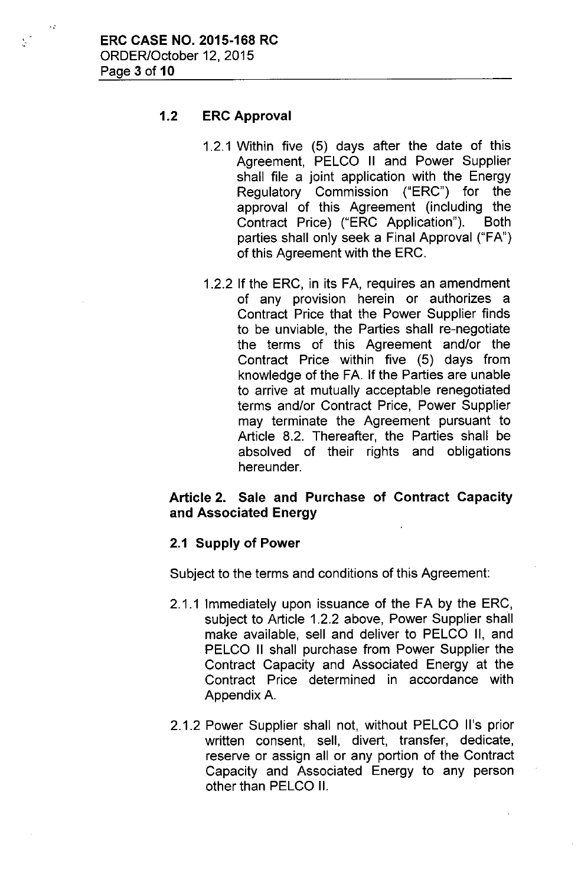,,.

 $\sum_{i=1}^{n}$ 

# 1.2 ERC Approval

- 1,2,1 Within five (5) days after the date of this Agreement, PELCO II and Power Supplier shall file a joint application with the Energy Regulatory Commission ("ERC") for the approval of this Agreement (including the Contract Price) ("ERC Application"). Both parties shall only seek a Final Approval ("FA") of this Agreement with the ERC,
- 1,2.2 If the ERC, in its FA, requires an amendment of any provision herein or authorizes a Contract Price that the Power Supplier finds to be unviable, the Parties shall re-negotiate the terms of this Agreement and/or the Contract Price within five (5) days from knowledge of the FA. If the Parties are unable to arrive at mutually acceptable renegotiated terms and/or Contract Price, Power Supplier may terminate the Agreement pursuant to Article 8.2, Thereafter, the Parties shall be absolved of their rights and obligations hereunder.

# Article 2. Sale and Purchase of Contract Capacity and Associated Energy

## 2.1 Supply of Power

Subject to the terms and conditions of this Agreement:

- 2.1.1 Immediately upon issuance of the FA by the ERC, subject to Article 1.2.2 above, Power Supplier shall make available, sell and deliver to PELCO II, and PELCO II shall purchase from Power Supplier the Contract Capacity and Associated Energy at the Contract Price determined in accordance with Appendix A.
- 2.1.2 Power Supplier shall not, without PELCO II's prior written consent, sell, divert, transfer, dedicate, reserve or assign all or any portion of the Contract Capacity and Associated Energy to any person other than PELCO II.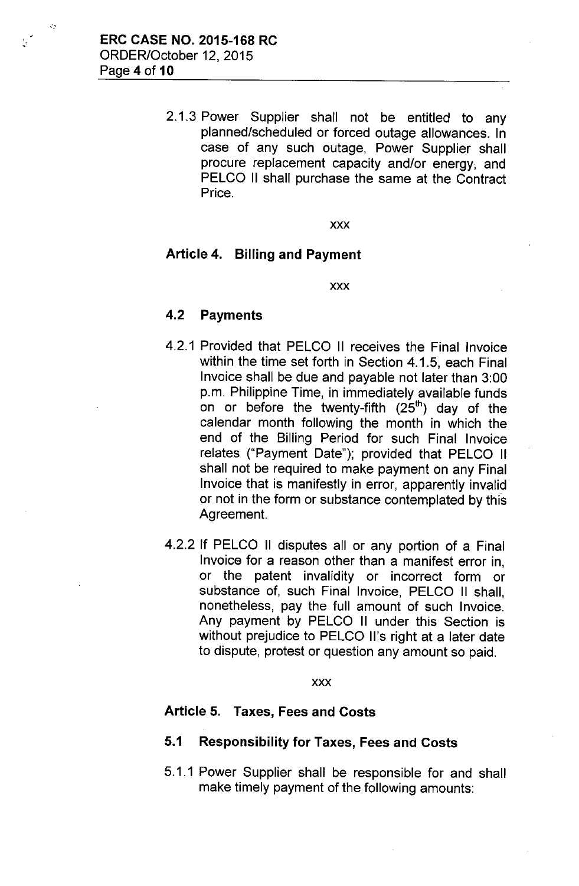'.

.':

2.1.3 Power Supplier shall not be entitled to any planned/scheduled or forced outage allowances. In case of any such outage, Power Supplier shall procure replacement capacity and/or energy, and PELCO II shall purchase the same at the Contract Price.

xxx

#### Article 4. Billing and Payment

xxx

## 4.2 Payments

- 4.2.1 Provided that PELCO II receives the Final Invoice within the time set forth in Section 4.1.5, each Final Invoice shall be due and payable not later than 3:00 p.m. Philippine Time, in immediately available funds on or before the twenty-fifth (25 $^{\text{th}}$ ) day of the calendar month following the month in which the end of the Billing Period for such Final Invoice relates ("Payment Date"); provided that PELCO II shall not be required to make payment on any Final Invoice that is manifestly in error, apparently invalid or not in the form or substance contemplated by this Agreement.
- 4.2.2 If PELCO II disputes all or any portion of a Final Invoice for a reason other than a manifest error in, or the patent invalidity or incorrect form or substance of, such Final Invoice, PELCO II shall, nonetheless, pay the full amount of such Invoice. Any payment by PELCO II under this Section is without prejudice to PELCO II's right at a later date to dispute, protest or question any amount so paid.

xxx

#### Article 5. Taxes, Fees and Costs

# 5.1 Responsibility for Taxes, Fees and Costs

5.1.1 Power Supplier shall be responsible for and shall make timely payment of the following amounts: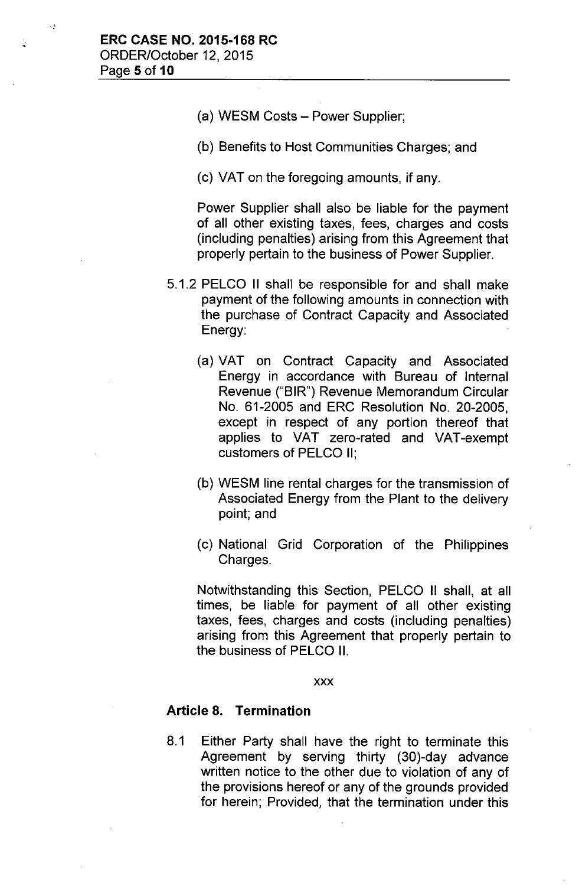χŞ

- (a) WESM Costs Power Supplier;
- (b) Benefits to Host Communities Charges; and
- (c) VAT on the foregoing amounts, if any.

Power Supplier shall also be liable for the payment of all other existing taxes, fees, charges and costs (including penalties) arising from this Agreement that properly pertain to the business of Power Supplier.

- 5.1.2 PELCO II shall be responsible for and shall make payment of the following amounts in connection with the purchase of Contract Capacity and Associated Energy:
	- (a) VAT on Contract Capacity and Associated Energy in accordance with Bureau of Internal Revenue ("BIR") Revenue Memorandum Circular No. 61-2005 and ERC Resolution No. 20-2005, except in respect of any portion thereof that applies to VAT zero-rated and VAT-exempt customers of PELCO II;
	- (b) WESM line rental charges for the transmission of Associated Energy from the Plant to the delivery point; and
	- (c) National Grid Corporation of the Philippines Charges.

Notwithstanding this Section, PELCO II shall, at all times, be liable for payment of all other existing taxes, fees, charges and costs (including penalties) arising from this Agreement that properly pertain to the business of PELCO II.

xxx

#### Article 8. Termination

8.1 Either Party shall have the right to terminate this Agreement by serving thirty (30)-day advance written notice to the other due to violation of any of the provisions hereof or any of the grounds provided for herein; Provided, that the termination under this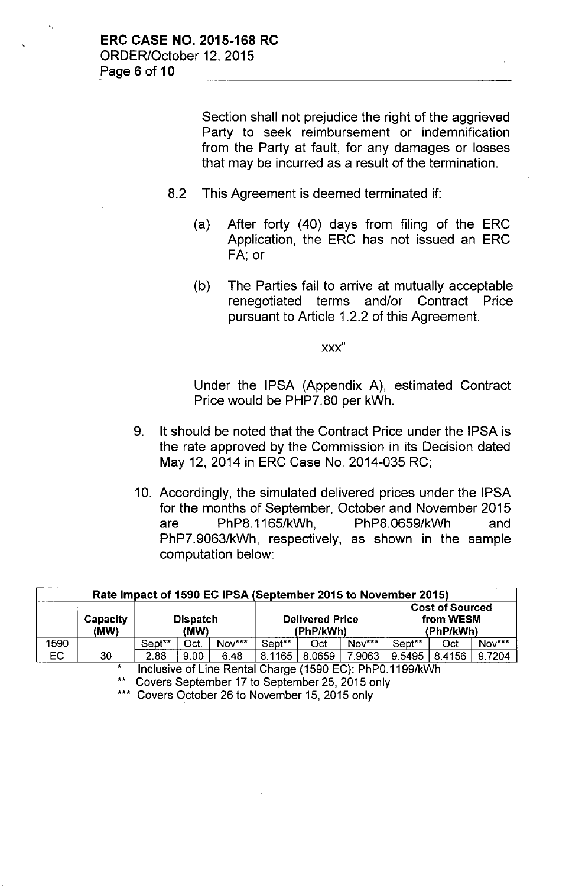Section shall not prejudice the right of the aggrieved Party to seek reimbursement or indemnification from the Party at fault, for any damages or losses that may be incurred as a result of the termination.

- 8.2 This Agreement is deemed terminated if:
	- (a) After forty (40) days from filing of the ERC Application, the ERC has not issued an ERC FA; or
	- (b) The Parties fail to arrive at mutually acceptable renegotiated terms and/or Contract Price pursuant to Article 1.2.2 of this Agreement.

xxx"

Under the IPSA (Appendix A), estimated Contract Price would be PHP7.80 per kWh.

- 9. It should be noted that the Contract Price under the IPSA is the rate approved by the Commission in its Decision dated May 12, 2014 in ERC Case No. 2014-035 RC;
- 10. Accordingly, the simulated delivered prices under the IPSA for the months of September, October and November 2015 are PhP8.1165/kWh, PhP8.0659/kWh and PhP7.9063/kWh, respectively, as shown in the sample computation below:

| Rate Impact of 1590 EC IPSA (September 2015 to November 2015) |                         |                         |      |        |                                     |        |        |                                                  |        |        |  |
|---------------------------------------------------------------|-------------------------|-------------------------|------|--------|-------------------------------------|--------|--------|--------------------------------------------------|--------|--------|--|
|                                                               | <b>Capacity</b><br>(MW) | <b>Dispatch</b><br>(MW) |      |        | <b>Delivered Price</b><br>(PhP/kWh) |        |        | <b>Cost of Sourced</b><br>from WESM<br>(PhP/kWh) |        |        |  |
| 1590                                                          |                         | Sept**                  | Oct. | Nov*** | Sept**                              | Oct    | Nov*** | Sept <sup>**</sup>                               | Oct    | Nov*** |  |
| EC                                                            | 30                      | 2.88                    | 9.00 | 6.48   | 8.1165                              | 8.0659 | 7.9063 | 9.5495                                           | 8.4156 | 9.7204 |  |

, Inclusive of Line Rental Charge (1590 EC): PhPO.1199/kWh

Covers September 17 to September 25, 2015 only

\*\*\* Covers October 26 to November 15, 2015 only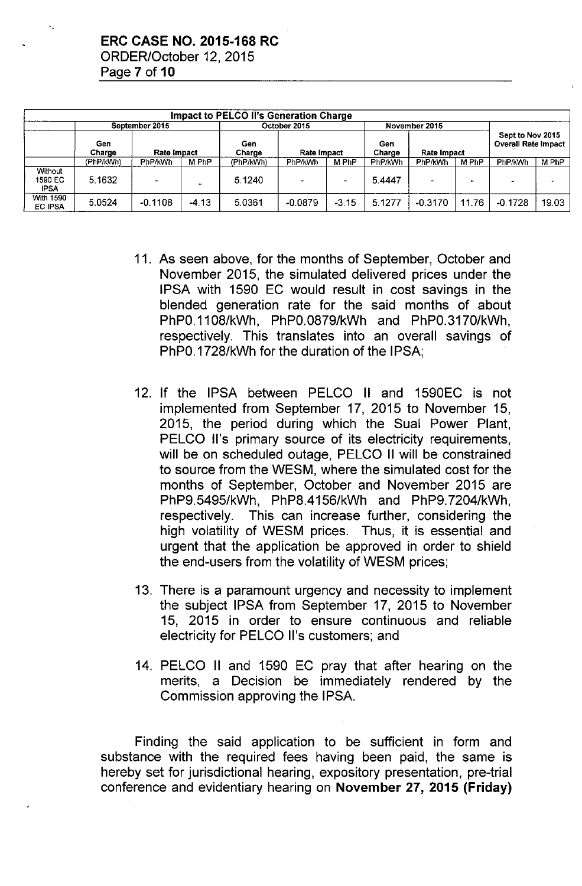|                                   |               |                    |                | <b>Impact to PELCO II's Generation Charge</b> |                |         |               |                    |       |                                                |       |
|-----------------------------------|---------------|--------------------|----------------|-----------------------------------------------|----------------|---------|---------------|--------------------|-------|------------------------------------------------|-------|
|                                   |               | September 2015     |                | October 2015                                  |                |         | November 2015 |                    |       |                                                |       |
|                                   | Gen<br>Charge | <b>Rate Impact</b> |                | Gen<br>Charge                                 | Rate Impact    |         | Gen<br>Charge | <b>Rate Impact</b> |       | Sept to Nov 2015<br><b>Overall Rate Impact</b> |       |
|                                   | (PhP/kWh)     | PhP/kWh            | M PhP          | (PhP/kWh)                                     | PhP/kWh        | M PhP   | PhP/kWh       | <b>PhP/kWh</b>     | M PhP | PhP/kWh                                        | M PhP |
| Without<br>1590 EC<br><b>IPSA</b> | 5.1632        | $\sim$             | $\overline{ }$ | 5.1240                                        | $\blacksquare$ | ۰       | 5.4447        | -                  |       |                                                |       |
| <b>With 1590</b><br>EC IPSA       | 5.0524        | $-0.1108$          | $-4.13$        | 5.0361                                        | $-0.0879$      | $-3.15$ | 5.1277        | $-0.3170$          | 11.76 | $-0.1728$                                      | 19.03 |

- 11. As seen above, for the months of September, October and November 2015, the simulated delivered prices under the IPSA with 1590 EC would result in cost savings in the blended generation rate for the said months of about PhPO.1108/kWh, PhPO.0879/kWh and PhPO.3170/kWh, respectively. This translates into an overall savings of PhPO.1728/kWh for the duration of the IPSA;
- 12. If the IPSA between PELCO II and 1590EC is not implemented from September 17, 2015 to November 15, 2015, the period during which the Sual Power Plant, PELCO II's primary source of its electricity requirements, will be on scheduled outage. PELCO II will be constrained to source from the WESM, where the simulated cost for the months of September, October and November 2015 are PhP9.5495/kWh, PhP8.4156/kWh and PhP9.7204/kWh, respectively. This can increase further, considering the high volatility of WESM prices. Thus, it is essential and urgent that the application be approved in order to shield the end-users from the volatility of WESM prices;
- 13. There is a paramount urgency and necessity to implement the subject IPSA from September 17, 2015 to November 15, 2015 in order to ensure continuous and reliable electricity for PELCO II's customers; and
- 14. PELCO II and 1590 EC pray that after hearing on the merits, a Decision be immediately rendered by the Commission approving the IPSA.

Finding the said application to be sufficient in form and substance with the required fees having been paid, the same is hereby set for jurisdictional hearing, expository presentation, pre-trial conference and evidentiary hearing on **November 27, 2015 (Friday)**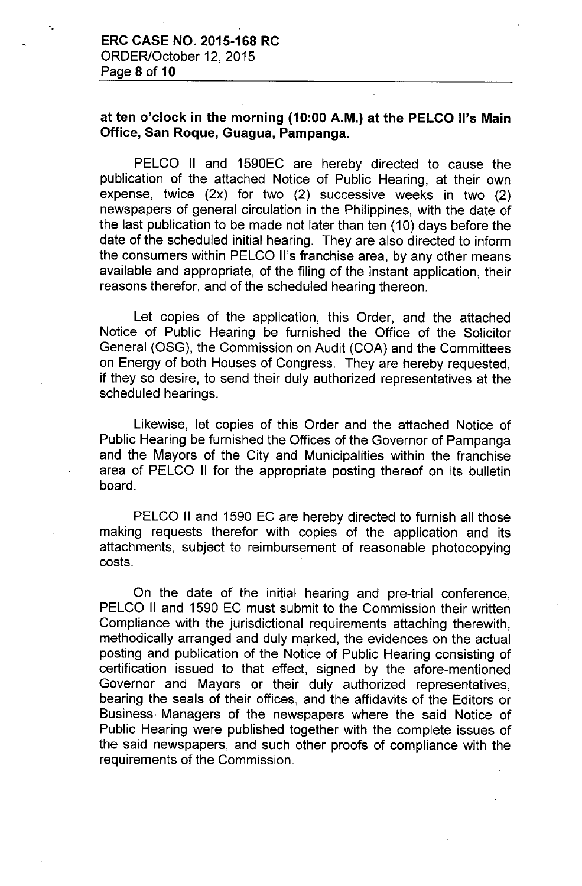"

# at ten o'clock in the morning (10:00 A.M.) at the PELCO II's Main Office, San Roque, Guagua, Pampanga.

PELCO II and 1590EC are hereby directed to cause the publication of the attached Notice of Public Hearing, at their own expense, twice (2x) for two (2) successive weeks in two (2) newspapers of general circulation in the Philippines, with the date of the last publication to be made not later than ten (10) days before the date of the scheduled initial hearing. They are also directed to inform the consumers within PELCO II's franchise area, by any other means available and appropriate, of the filing of the instant application, their reasons therefor, and of the scheduled hearing thereon.

Let copies of the application, this Order, and the attached Notice of Public Hearing be furnished the Office of the Solicitor General (OSG), the Commission on Audit (COA) and the Committees on Energy of both Houses of Congress. They are hereby requested, if they so desire, to send their duly authorized representatives at the scheduled hearings.

Likewise, let copies of this Order and the attached Notice of Public Hearing be furnished the Offices of the Governor of Pampanga and the Mayors of the City and Municipalities within the franchise area of PELCO II for the appropriate posting thereof on its bulletin board.

PELCO II and 1590 EC are hereby directed to furnish all those making requests therefor with copies of the application and its attachments, subject to reimbursement of reasonable photocopying costs.

On the date of the initial hearing and pre-trial conference, PELCO II and 1590 EC must submit to the Commission their written Compliance with the jurisdictional requirements attaching therewith, methodically arranged and duly marked, the evidences on the actual posting and publication of the Notice of Public Hearing consisting of certification issued to that effect, signed by the afore-mentioned Governor and Mayors or their duly authorized representatives, bearing the seals of their offices, and the affidavits of the Editors or Business. Managers of the newspapers where the said Notice of Public Hearing were published together with the complete issues of the said newspapers, and such other proofs of compliance with the requirements of the Commission.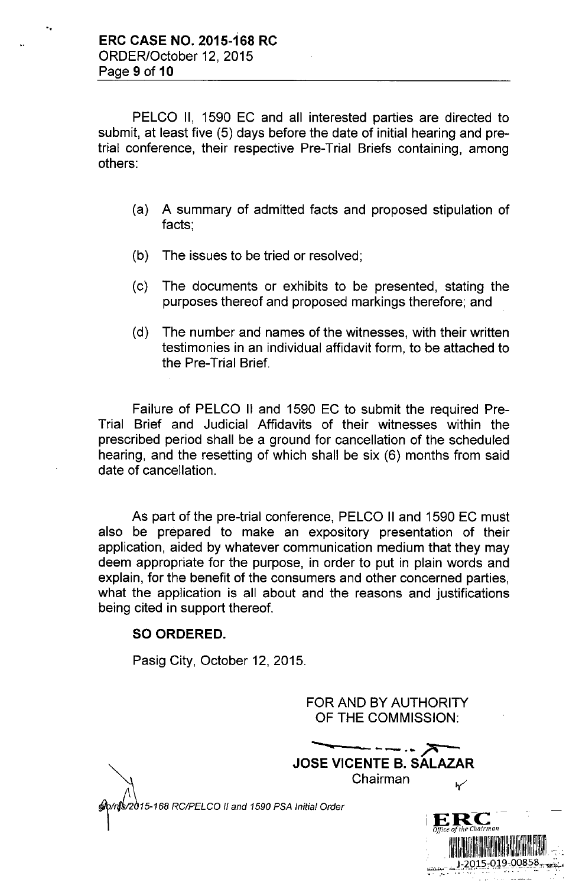",

PELCO II, 1590 EC and all interested parties are directed to submit, at least five (5) days before the date of initial hearing and pretrial conference, their respective Pre-Trial Briefs containing, among others:

- (a) A summary of admitted facts and proposed stipulation of facts;
- (b) The issues to be tried or resolved;
- (c) The documents or exhibits to be presented, stating the purposes thereof and proposed markings therefore; and
- (d) The number and names of the witnesses, with their written testimonies in an individual affidavit form, to be attached to the Pre-Trial Brief.

Failure of PELCO II and 1590 EC to submit the required Pre-Trial Brief and Judicial Affidavits of their witnesses within the prescribed period shall be a ground for cancellation of the scheduled hearing, and the resetting of which shall be six (6) months from said date of cancellation.

As part of the pre-trial conference, PELCO II and 1590 EC must also be prepared to make an expository presentation of their application, aided by whatever communication medium that they may deem appropriate for the purpose, in order to put in plain words and explain, for the benefit of the consumers and other concerned parties, what the application is all about and the reasons and justifications being cited in support thereof.

# **SO ORDERED.**

Pasig City, October 12, 2015.

FOR AND BY AUTHORITY OF THE COMMISSION:

**JOSE VICENTE B. SALAZAR** Chairman

2015-168 RC/PELCO II and 1590 PSA Initial Order